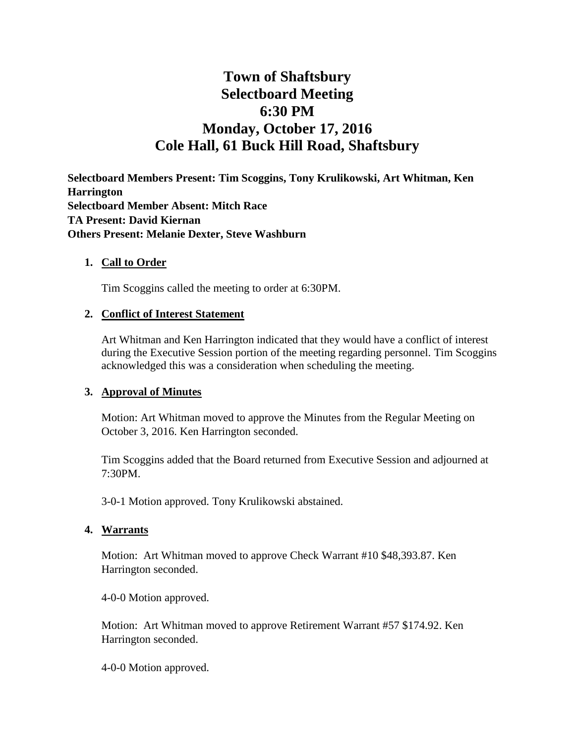# **Town of Shaftsbury Selectboard Meeting 6:30 PM Monday, October 17, 2016 Cole Hall, 61 Buck Hill Road, Shaftsbury**

**Selectboard Members Present: Tim Scoggins, Tony Krulikowski, Art Whitman, Ken Harrington Selectboard Member Absent: Mitch Race TA Present: David Kiernan Others Present: Melanie Dexter, Steve Washburn**

#### **1. Call to Order**

Tim Scoggins called the meeting to order at 6:30PM.

#### **2. Conflict of Interest Statement**

Art Whitman and Ken Harrington indicated that they would have a conflict of interest during the Executive Session portion of the meeting regarding personnel. Tim Scoggins acknowledged this was a consideration when scheduling the meeting.

#### **3. Approval of Minutes**

Motion: Art Whitman moved to approve the Minutes from the Regular Meeting on October 3, 2016. Ken Harrington seconded.

Tim Scoggins added that the Board returned from Executive Session and adjourned at 7:30PM.

3-0-1 Motion approved. Tony Krulikowski abstained.

#### **4. Warrants**

Motion: Art Whitman moved to approve Check Warrant #10 \$48,393.87. Ken Harrington seconded.

4-0-0 Motion approved.

Motion: Art Whitman moved to approve Retirement Warrant #57 \$174.92. Ken Harrington seconded.

4-0-0 Motion approved.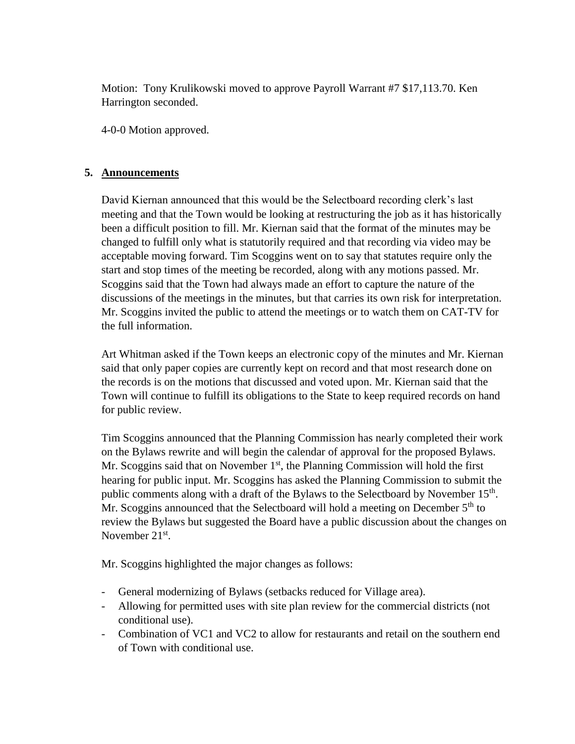Motion: Tony Krulikowski moved to approve Payroll Warrant #7 \$17,113.70. Ken Harrington seconded.

4-0-0 Motion approved.

## **5. Announcements**

David Kiernan announced that this would be the Selectboard recording clerk's last meeting and that the Town would be looking at restructuring the job as it has historically been a difficult position to fill. Mr. Kiernan said that the format of the minutes may be changed to fulfill only what is statutorily required and that recording via video may be acceptable moving forward. Tim Scoggins went on to say that statutes require only the start and stop times of the meeting be recorded, along with any motions passed. Mr. Scoggins said that the Town had always made an effort to capture the nature of the discussions of the meetings in the minutes, but that carries its own risk for interpretation. Mr. Scoggins invited the public to attend the meetings or to watch them on CAT-TV for the full information.

Art Whitman asked if the Town keeps an electronic copy of the minutes and Mr. Kiernan said that only paper copies are currently kept on record and that most research done on the records is on the motions that discussed and voted upon. Mr. Kiernan said that the Town will continue to fulfill its obligations to the State to keep required records on hand for public review.

Tim Scoggins announced that the Planning Commission has nearly completed their work on the Bylaws rewrite and will begin the calendar of approval for the proposed Bylaws. Mr. Scoggins said that on November  $1<sup>st</sup>$ , the Planning Commission will hold the first hearing for public input. Mr. Scoggins has asked the Planning Commission to submit the public comments along with a draft of the Bylaws to the Selectboard by November  $15<sup>th</sup>$ . Mr. Scoggins announced that the Selectboard will hold a meeting on December  $5<sup>th</sup>$  to review the Bylaws but suggested the Board have a public discussion about the changes on November  $21<sup>st</sup>$ .

Mr. Scoggins highlighted the major changes as follows:

- General modernizing of Bylaws (setbacks reduced for Village area).
- Allowing for permitted uses with site plan review for the commercial districts (not conditional use).
- Combination of VC1 and VC2 to allow for restaurants and retail on the southern end of Town with conditional use.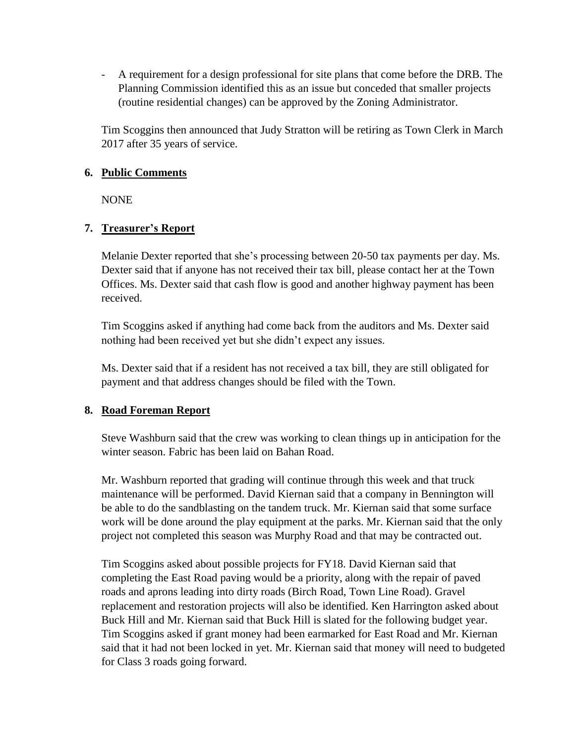- A requirement for a design professional for site plans that come before the DRB. The Planning Commission identified this as an issue but conceded that smaller projects (routine residential changes) can be approved by the Zoning Administrator.

Tim Scoggins then announced that Judy Stratton will be retiring as Town Clerk in March 2017 after 35 years of service.

## **6. Public Comments**

NONE

## **7. Treasurer's Report**

Melanie Dexter reported that she's processing between 20-50 tax payments per day. Ms. Dexter said that if anyone has not received their tax bill, please contact her at the Town Offices. Ms. Dexter said that cash flow is good and another highway payment has been received.

Tim Scoggins asked if anything had come back from the auditors and Ms. Dexter said nothing had been received yet but she didn't expect any issues.

Ms. Dexter said that if a resident has not received a tax bill, they are still obligated for payment and that address changes should be filed with the Town.

## **8. Road Foreman Report**

Steve Washburn said that the crew was working to clean things up in anticipation for the winter season. Fabric has been laid on Bahan Road.

Mr. Washburn reported that grading will continue through this week and that truck maintenance will be performed. David Kiernan said that a company in Bennington will be able to do the sandblasting on the tandem truck. Mr. Kiernan said that some surface work will be done around the play equipment at the parks. Mr. Kiernan said that the only project not completed this season was Murphy Road and that may be contracted out.

Tim Scoggins asked about possible projects for FY18. David Kiernan said that completing the East Road paving would be a priority, along with the repair of paved roads and aprons leading into dirty roads (Birch Road, Town Line Road). Gravel replacement and restoration projects will also be identified. Ken Harrington asked about Buck Hill and Mr. Kiernan said that Buck Hill is slated for the following budget year. Tim Scoggins asked if grant money had been earmarked for East Road and Mr. Kiernan said that it had not been locked in yet. Mr. Kiernan said that money will need to budgeted for Class 3 roads going forward.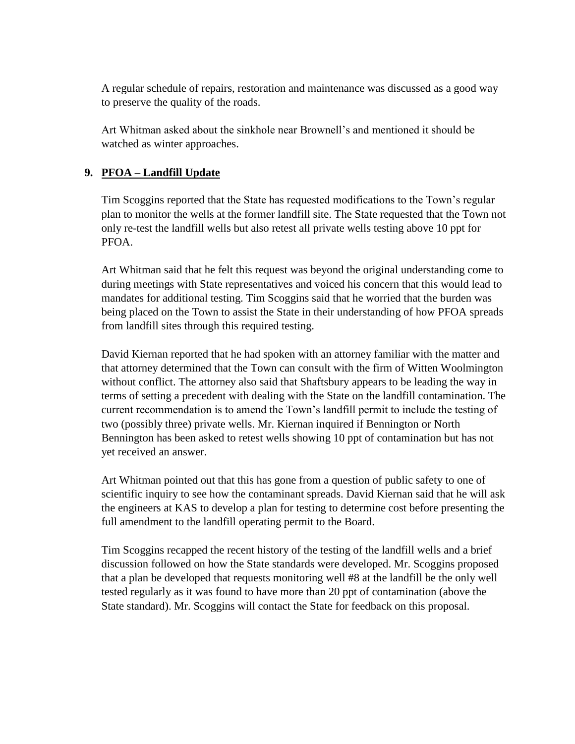A regular schedule of repairs, restoration and maintenance was discussed as a good way to preserve the quality of the roads.

Art Whitman asked about the sinkhole near Brownell's and mentioned it should be watched as winter approaches.

# **9. PFOA – Landfill Update**

Tim Scoggins reported that the State has requested modifications to the Town's regular plan to monitor the wells at the former landfill site. The State requested that the Town not only re-test the landfill wells but also retest all private wells testing above 10 ppt for PFOA.

Art Whitman said that he felt this request was beyond the original understanding come to during meetings with State representatives and voiced his concern that this would lead to mandates for additional testing. Tim Scoggins said that he worried that the burden was being placed on the Town to assist the State in their understanding of how PFOA spreads from landfill sites through this required testing.

David Kiernan reported that he had spoken with an attorney familiar with the matter and that attorney determined that the Town can consult with the firm of Witten Woolmington without conflict. The attorney also said that Shaftsbury appears to be leading the way in terms of setting a precedent with dealing with the State on the landfill contamination. The current recommendation is to amend the Town's landfill permit to include the testing of two (possibly three) private wells. Mr. Kiernan inquired if Bennington or North Bennington has been asked to retest wells showing 10 ppt of contamination but has not yet received an answer.

Art Whitman pointed out that this has gone from a question of public safety to one of scientific inquiry to see how the contaminant spreads. David Kiernan said that he will ask the engineers at KAS to develop a plan for testing to determine cost before presenting the full amendment to the landfill operating permit to the Board.

Tim Scoggins recapped the recent history of the testing of the landfill wells and a brief discussion followed on how the State standards were developed. Mr. Scoggins proposed that a plan be developed that requests monitoring well #8 at the landfill be the only well tested regularly as it was found to have more than 20 ppt of contamination (above the State standard). Mr. Scoggins will contact the State for feedback on this proposal.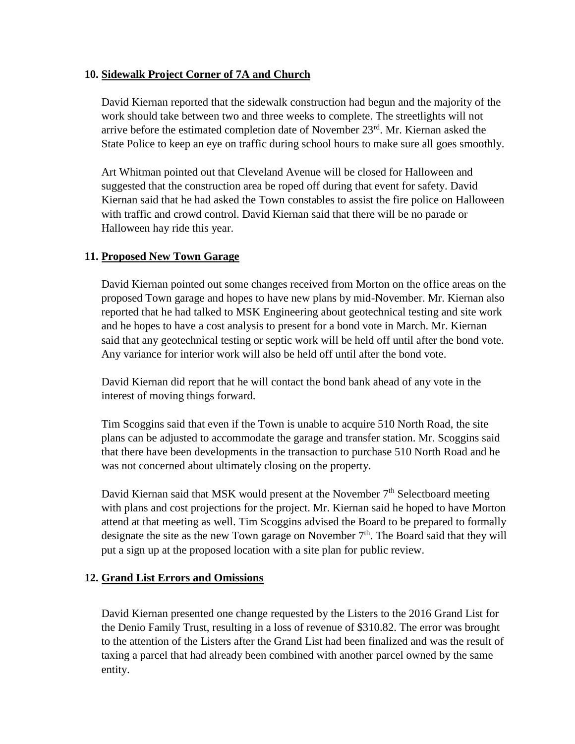## **10. Sidewalk Project Corner of 7A and Church**

David Kiernan reported that the sidewalk construction had begun and the majority of the work should take between two and three weeks to complete. The streetlights will not arrive before the estimated completion date of November 23rd. Mr. Kiernan asked the State Police to keep an eye on traffic during school hours to make sure all goes smoothly.

Art Whitman pointed out that Cleveland Avenue will be closed for Halloween and suggested that the construction area be roped off during that event for safety. David Kiernan said that he had asked the Town constables to assist the fire police on Halloween with traffic and crowd control. David Kiernan said that there will be no parade or Halloween hay ride this year.

## **11. Proposed New Town Garage**

David Kiernan pointed out some changes received from Morton on the office areas on the proposed Town garage and hopes to have new plans by mid-November. Mr. Kiernan also reported that he had talked to MSK Engineering about geotechnical testing and site work and he hopes to have a cost analysis to present for a bond vote in March. Mr. Kiernan said that any geotechnical testing or septic work will be held off until after the bond vote. Any variance for interior work will also be held off until after the bond vote.

David Kiernan did report that he will contact the bond bank ahead of any vote in the interest of moving things forward.

Tim Scoggins said that even if the Town is unable to acquire 510 North Road, the site plans can be adjusted to accommodate the garage and transfer station. Mr. Scoggins said that there have been developments in the transaction to purchase 510 North Road and he was not concerned about ultimately closing on the property.

David Kiernan said that MSK would present at the November  $7<sup>th</sup>$  Selectboard meeting with plans and cost projections for the project. Mr. Kiernan said he hoped to have Morton attend at that meeting as well. Tim Scoggins advised the Board to be prepared to formally designate the site as the new Town garage on November  $7<sup>th</sup>$ . The Board said that they will put a sign up at the proposed location with a site plan for public review.

## **12. Grand List Errors and Omissions**

David Kiernan presented one change requested by the Listers to the 2016 Grand List for the Denio Family Trust, resulting in a loss of revenue of \$310.82. The error was brought to the attention of the Listers after the Grand List had been finalized and was the result of taxing a parcel that had already been combined with another parcel owned by the same entity.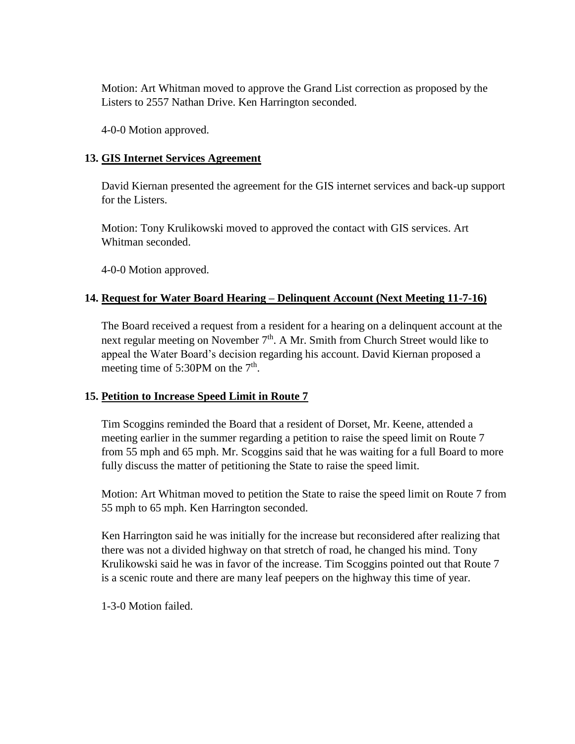Motion: Art Whitman moved to approve the Grand List correction as proposed by the Listers to 2557 Nathan Drive. Ken Harrington seconded.

4-0-0 Motion approved.

## **13. GIS Internet Services Agreement**

David Kiernan presented the agreement for the GIS internet services and back-up support for the Listers.

Motion: Tony Krulikowski moved to approved the contact with GIS services. Art Whitman seconded.

4-0-0 Motion approved.

## **14. Request for Water Board Hearing – Delinquent Account (Next Meeting 11-7-16)**

The Board received a request from a resident for a hearing on a delinquent account at the next regular meeting on November 7<sup>th</sup>. A Mr. Smith from Church Street would like to appeal the Water Board's decision regarding his account. David Kiernan proposed a meeting time of  $5:30PM$  on the  $7<sup>th</sup>$ .

#### **15. Petition to Increase Speed Limit in Route 7**

Tim Scoggins reminded the Board that a resident of Dorset, Mr. Keene, attended a meeting earlier in the summer regarding a petition to raise the speed limit on Route 7 from 55 mph and 65 mph. Mr. Scoggins said that he was waiting for a full Board to more fully discuss the matter of petitioning the State to raise the speed limit.

Motion: Art Whitman moved to petition the State to raise the speed limit on Route 7 from 55 mph to 65 mph. Ken Harrington seconded.

Ken Harrington said he was initially for the increase but reconsidered after realizing that there was not a divided highway on that stretch of road, he changed his mind. Tony Krulikowski said he was in favor of the increase. Tim Scoggins pointed out that Route 7 is a scenic route and there are many leaf peepers on the highway this time of year.

1-3-0 Motion failed.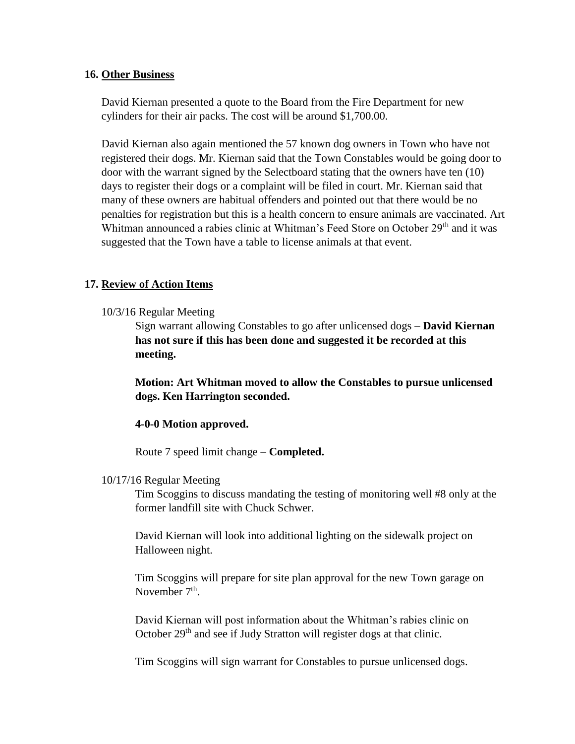#### **16. Other Business**

David Kiernan presented a quote to the Board from the Fire Department for new cylinders for their air packs. The cost will be around \$1,700.00.

David Kiernan also again mentioned the 57 known dog owners in Town who have not registered their dogs. Mr. Kiernan said that the Town Constables would be going door to door with the warrant signed by the Selectboard stating that the owners have ten (10) days to register their dogs or a complaint will be filed in court. Mr. Kiernan said that many of these owners are habitual offenders and pointed out that there would be no penalties for registration but this is a health concern to ensure animals are vaccinated. Art Whitman announced a rabies clinic at Whitman's Feed Store on October 29<sup>th</sup> and it was suggested that the Town have a table to license animals at that event.

#### **17. Review of Action Items**

#### 10/3/16 Regular Meeting

Sign warrant allowing Constables to go after unlicensed dogs – **David Kiernan has not sure if this has been done and suggested it be recorded at this meeting.**

**Motion: Art Whitman moved to allow the Constables to pursue unlicensed dogs. Ken Harrington seconded.**

#### **4-0-0 Motion approved.**

Route 7 speed limit change – **Completed.**

#### 10/17/16 Regular Meeting

Tim Scoggins to discuss mandating the testing of monitoring well #8 only at the former landfill site with Chuck Schwer.

David Kiernan will look into additional lighting on the sidewalk project on Halloween night.

Tim Scoggins will prepare for site plan approval for the new Town garage on November 7<sup>th</sup>.

David Kiernan will post information about the Whitman's rabies clinic on October 29<sup>th</sup> and see if Judy Stratton will register dogs at that clinic.

Tim Scoggins will sign warrant for Constables to pursue unlicensed dogs.